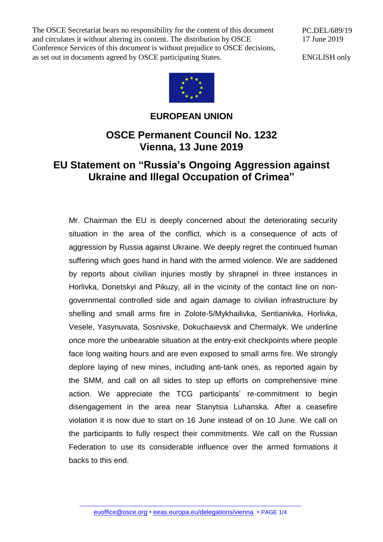The OSCE Secretariat bears no responsibility for the content of this document and circulates it without altering its content. The distribution by OSCE Conference Services of this document is without prejudice to OSCE decisions, as set out in documents agreed by OSCE participating States.

PC.DEL/689/19 17 June 2019

ENGLISH only



## **EUROPEAN UNION**

## **OSCE Permanent Council No. 1232 Vienna, 13 June 2019**

## **EU Statement on "Russia's Ongoing Aggression against Ukraine and Illegal Occupation of Crimea"**

Mr. Chairman the EU is deeply concerned about the deteriorating security situation in the area of the conflict, which is a consequence of acts of aggression by Russia against Ukraine. We deeply regret the continued human suffering which goes hand in hand with the armed violence. We are saddened by reports about civilian injuries mostly by shrapnel in three instances in Horlivka, Donetskyi and Pikuzy, all in the vicinity of the contact line on nongovernmental controlled side and again damage to civilian infrastructure by shelling and small arms fire in Zolote-5/Mykhailivka, Sentianivka, Horlivka, Vesele, Yasynuvata, Sosnivske, Dokuchaievsk and Chermalyk. We underline once more the unbearable situation at the entry-exit checkpoints where people face long waiting hours and are even exposed to small arms fire. We strongly deplore laying of new mines, including anti-tank ones, as reported again by the SMM, and call on all sides to step up efforts on comprehensive mine action. We appreciate the TCG participants' re-commitment to begin disengagement in the area near Stanytsia Luhanska. After a ceasefire violation it is now due to start on 16 June instead of on 10 June. We call on the participants to fully respect their commitments. We call on the Russian Federation to use its considerable influence over the armed formations it backs to this end.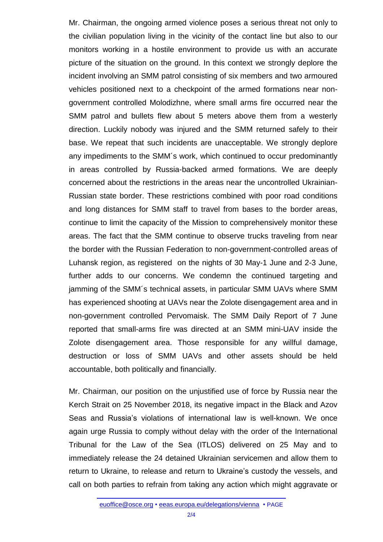Mr. Chairman, the ongoing armed violence poses a serious threat not only to the civilian population living in the vicinity of the contact line but also to our monitors working in a hostile environment to provide us with an accurate picture of the situation on the ground. In this context we strongly deplore the incident involving an SMM patrol consisting of six members and two armoured vehicles positioned next to a checkpoint of the armed formations near nongovernment controlled Molodizhne, where small arms fire occurred near the SMM patrol and bullets flew about 5 meters above them from a westerly direction. Luckily nobody was injured and the SMM returned safely to their base. We repeat that such incidents are unacceptable. We strongly deplore any impediments to the SMM´s work, which continued to occur predominantly in areas controlled by Russia-backed armed formations. We are deeply concerned about the restrictions in the areas near the uncontrolled Ukrainian-Russian state border. These restrictions combined with poor road conditions and long distances for SMM staff to travel from bases to the border areas, continue to limit the capacity of the Mission to comprehensively monitor these areas. The fact that the SMM continue to observe trucks traveling from near the border with the Russian Federation to non-government-controlled areas of Luhansk region, as registered on the nights of 30 May-1 June and 2-3 June, further adds to our concerns. We condemn the continued targeting and jamming of the SMM´s technical assets, in particular SMM UAVs where SMM has experienced shooting at UAVs near the Zolote disengagement area and in non-government controlled Pervomaisk. The SMM Daily Report of 7 June reported that small-arms fire was directed at an SMM mini-UAV inside the Zolote disengagement area. Those responsible for any willful damage, destruction or loss of SMM UAVs and other assets should be held accountable, both politically and financially.

Mr. Chairman, our position on the unjustified use of force by Russia near the Kerch Strait on 25 November 2018, its negative impact in the Black and Azov Seas and Russia's violations of international law is well-known. We once again urge Russia to comply without delay with the order of the International Tribunal for the Law of the Sea (ITLOS) delivered on 25 May and to immediately release the 24 detained Ukrainian servicemen and allow them to return to Ukraine, to release and return to Ukraine's custody the vessels, and call on both parties to refrain from taking any action which might aggravate or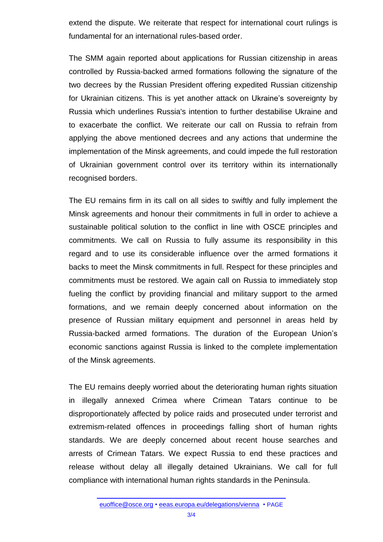extend the dispute. We reiterate that respect for international court rulings is fundamental for an international rules-based order.

The SMM again reported about applications for Russian citizenship in areas controlled by Russia-backed armed formations following the signature of the two decrees by the Russian President offering expedited Russian citizenship for Ukrainian citizens. This is yet another attack on Ukraine's sovereignty by Russia which underlines Russia's intention to further destabilise Ukraine and to exacerbate the conflict. We reiterate our call on Russia to refrain from applying the above mentioned decrees and any actions that undermine the implementation of the Minsk agreements, and could impede the full restoration of Ukrainian government control over its territory within its internationally recognised borders.

The EU remains firm in its call on all sides to swiftly and fully implement the Minsk agreements and honour their commitments in full in order to achieve a sustainable political solution to the conflict in line with OSCE principles and commitments. We call on Russia to fully assume its responsibility in this regard and to use its considerable influence over the armed formations it backs to meet the Minsk commitments in full. Respect for these principles and commitments must be restored. We again call on Russia to immediately stop fueling the conflict by providing financial and military support to the armed formations, and we remain deeply concerned about information on the presence of Russian military equipment and personnel in areas held by Russia-backed armed formations. The duration of the European Union's economic sanctions against Russia is linked to the complete implementation of the Minsk agreements.

The EU remains deeply worried about the deteriorating human rights situation in illegally annexed Crimea where Crimean Tatars continue to be disproportionately affected by police raids and prosecuted under terrorist and extremism-related offences in proceedings falling short of human rights standards. We are deeply concerned about recent house searches and arrests of Crimean Tatars. We expect Russia to end these practices and release without delay all illegally detained Ukrainians. We call for full compliance with international human rights standards in the Peninsula.